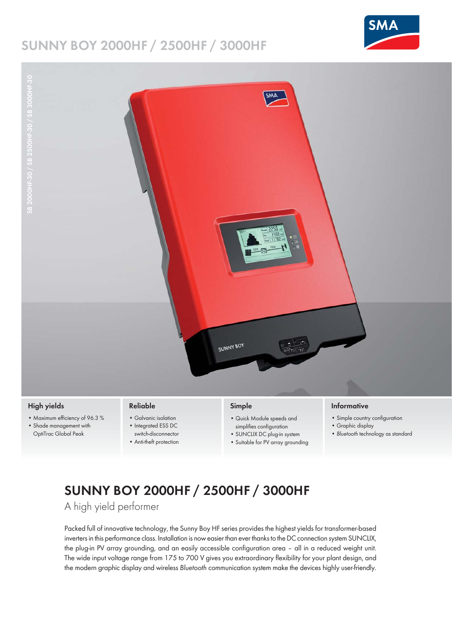## **SUNNY BOY 2000HF / 2500HF / 3000HF**





- **High yields**
- Maximum efficiency of 96.3 %
- Shade management with OptiTrac Global Peak

### **Reliable**

- Galvanic isolation • Integrated ESS DC
	- switch-disconnector
	- Anti-theft protection

## **Simple**

- Quick Module speeds and simplifies configuration
- SUNCLIX DC plug-in system
- Suitable for PV array grounding

#### **Informative**

- Simple country configuration
- Graphic display
- *Bluetooth* technology as standard

# **SUNNY BOY 2000HF / 2500HF / 3000HF**

A high yield performer

Packed full of innovative technology, the Sunny Boy HF series provides the highest yields for transformer-based inverters in this performance class. Installation is now easier than ever thanks to the DC connection system SUNCLIX, the plug-in PV array grounding, and an easily accessible configuration area – all in a reduced weight unit. The wide input voltage range from 175 to 700 V gives you extraordinary flexibility for your plant design, and the modern graphic display and wireless *Bluetooth* communication system make the devices highly user-friendly.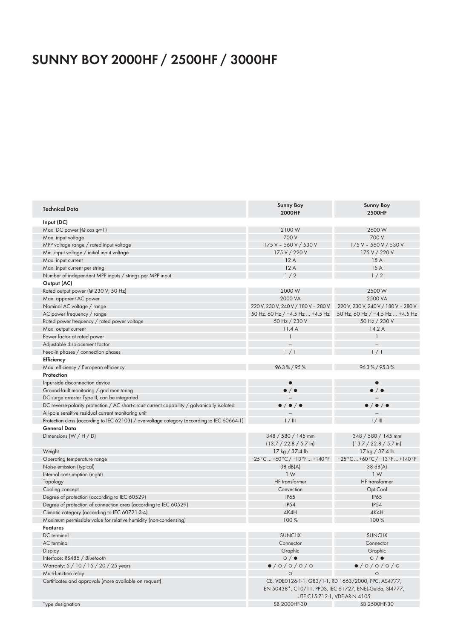# **SUNNY BOY 2000HF / 2500HF / 3000HF**

| <b>Technical Data</b>                                                                        | <b>Sunny Boy</b><br>2000HF                                                                                      | <b>Sunny Boy</b><br><b>2500HF</b>                                       |
|----------------------------------------------------------------------------------------------|-----------------------------------------------------------------------------------------------------------------|-------------------------------------------------------------------------|
| Input (DC)                                                                                   |                                                                                                                 |                                                                         |
| Max. DC power ( $@$ cos $\varphi=1$ )                                                        | 2100W                                                                                                           | 2600W                                                                   |
| Max. input voltage                                                                           | 700 V                                                                                                           | 700 V                                                                   |
| MPP voltage range / rated input voltage                                                      | 175 V - 560 V / 530 V                                                                                           | 175 V - 560 V / 530 V                                                   |
| Min. input voltage / initial input voltage                                                   | 175 V / 220 V                                                                                                   | 175 V / 220 V                                                           |
| Max. input current                                                                           | 12A                                                                                                             | 15A                                                                     |
| Max. input current per string                                                                | 12A                                                                                                             | 15A                                                                     |
| Number of independent MPP inputs / strings per MPP input                                     | 1/2                                                                                                             | 1/2                                                                     |
| Output (AC)                                                                                  |                                                                                                                 |                                                                         |
| Rated output power (@ 230 V, 50 Hz)                                                          | 2000 W                                                                                                          | 2500W                                                                   |
| Max. apparent AC power                                                                       | 2000 VA                                                                                                         | 2500 VA                                                                 |
| Nominal AC voltage / range                                                                   | 220 V, 230 V, 240 V / 180 V - 280 V                                                                             | 220 V, 230 V, 240 V / 180 V - 280 V                                     |
| AC power frequency / range                                                                   |                                                                                                                 | 50 Hz, 60 Hz / -4.5 Hz  +4.5 Hz 50 Hz, 60 Hz / -4.5 Hz  +4.5 Hz         |
| Rated power frequency / rated power voltage                                                  | 50 Hz / 230 V                                                                                                   | 50 Hz / 230 V                                                           |
| Max. output current                                                                          | 11.4A                                                                                                           | 14.2A                                                                   |
| Power factor at rated power                                                                  | $\mathbf{1}$                                                                                                    | $\mathbf{1}$                                                            |
| Adjustable displacement factor                                                               |                                                                                                                 |                                                                         |
| Feed-in phases / connection phases                                                           | 1/1                                                                                                             | 1/1                                                                     |
| Efficiency                                                                                   |                                                                                                                 |                                                                         |
| Max. efficiency / European efficiency                                                        | 96.3%/95%                                                                                                       | 96.3%/95.3%                                                             |
| Protection                                                                                   |                                                                                                                 |                                                                         |
| Input-side disconnection device                                                              | $\bullet$                                                                                                       | $\bullet$                                                               |
|                                                                                              | $\bullet$ / $\bullet$                                                                                           | $\bullet$ / $\bullet$                                                   |
| Ground-fault monitoring / grid monitoring                                                    |                                                                                                                 |                                                                         |
| DC surge arrester Type II, can be integrated                                                 |                                                                                                                 |                                                                         |
| DC reverse-polarity protection / AC short-circuit current capability / galvanically isolated | $\bullet$ / $\bullet$ / $\bullet$                                                                               | $\bullet$ / $\bullet$ / $\bullet$                                       |
| All-pole sensitive residual current monitoring unit                                          |                                                                                                                 |                                                                         |
| Protection class (according to IEC 62103) / overvoltage category (according to IEC 60664-1)  | 1/111                                                                                                           | $1/$ III                                                                |
| <b>General Data</b>                                                                          |                                                                                                                 |                                                                         |
| Dimensions (W / H / D)                                                                       | 348 / 580 / 145 mm                                                                                              | 348 / 580 / 145 mm                                                      |
|                                                                                              | $(13.7 / 22.8 / 5.7 \text{ in})$                                                                                | $(13.7 / 22.8 / 5.7 \text{ in})$                                        |
| Weight                                                                                       | 17 kg / 37.4 lb                                                                                                 | 17 kg / 37.4 lb                                                         |
| Operating temperature range                                                                  | $-25\degree$ C  +60 $\degree$ C / -13 $\degree$ F  +140 $\degree$ F                                             | $-25^{\circ}$ C  +60 $^{\circ}$ C / -13 $^{\circ}$ F  +140 $^{\circ}$ F |
| Noise emission (typical)                                                                     | 38 dB(A)                                                                                                        | 38 dB(A)                                                                |
| Internal consumption (night)                                                                 | 1 <sub>W</sub>                                                                                                  | 1W                                                                      |
| Topology                                                                                     | <b>HF</b> transformer                                                                                           | <b>HF</b> transformer                                                   |
| Cooling concept                                                                              | Convection                                                                                                      | OptiCool                                                                |
| Degree of protection (according to IEC 60529)                                                | <b>IP65</b>                                                                                                     | <b>IP65</b>                                                             |
| Degree of protection of connection area (according to IEC 60529)                             | <b>IP54</b>                                                                                                     | <b>IP54</b>                                                             |
| Climatic category (according to IEC 60721-3-4)                                               | 4K4H                                                                                                            | 4K4H                                                                    |
| Maximum permissible value for relative humidity (non-condensing)                             | 100 %                                                                                                           | 100 %                                                                   |
| <b>Features</b>                                                                              |                                                                                                                 |                                                                         |
| DC terminal                                                                                  | <b>SUNCLIX</b>                                                                                                  | <b>SUNCLIX</b>                                                          |
| AC terminal                                                                                  | Connector                                                                                                       | Connector                                                               |
| Display                                                                                      | Graphic                                                                                                         | Graphic                                                                 |
| Interface: RS485 / Bluetooth                                                                 | $\circ$ / $\bullet$                                                                                             | $\circ$ / $\bullet$                                                     |
| Warranty: 5 / 10 / 15 / 20 / 25 years                                                        | $\bullet$ /0/0/0/0                                                                                              | $\bullet$ /0/0/0/0                                                      |
| Multi-function relay                                                                         | $\circ$                                                                                                         | $\circ$                                                                 |
| Certificates and approvals (more available on request)                                       | CE, VDE0126-1-1, G83/1-1, RD 1663/2000, PPC, AS4777,<br>EN 50438*, C10/11, PPDS, IEC 61727, ENEL-Guida, SI4777, |                                                                         |
|                                                                                              | UTE C15-712-1, VDE-AR-N 4105                                                                                    |                                                                         |
| Type designation                                                                             | SB 2000HF-30                                                                                                    | SB 2500HF-30                                                            |
|                                                                                              |                                                                                                                 |                                                                         |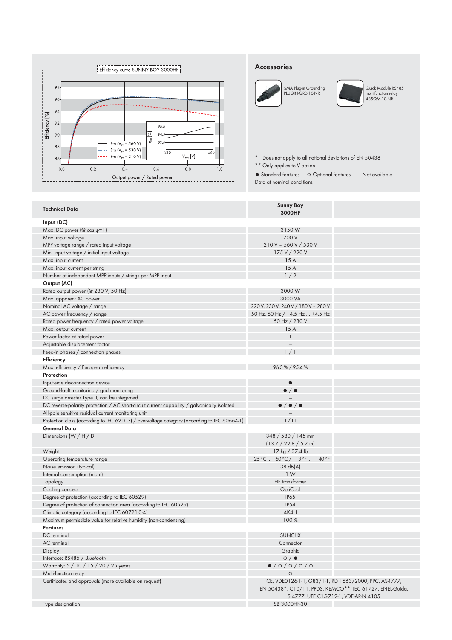

#### **Accessories**





Quick Module RS485 + multi-function relay 485QM-10-NR

\* Does not apply to all national deviations of EN 50438 \*\* Only applies to V option

● Standard features ○ Optional features — Not available

Data at nominal conditions

| <b>Technical Data</b>                                                                        | <b>Sunny Boy</b><br>3000HF                                                                                                                               |  |
|----------------------------------------------------------------------------------------------|----------------------------------------------------------------------------------------------------------------------------------------------------------|--|
| Input (DC)                                                                                   |                                                                                                                                                          |  |
| Max. DC power ( $@$ cos $\varphi=1$ )                                                        | 3150W                                                                                                                                                    |  |
|                                                                                              | 700 V                                                                                                                                                    |  |
| Max. input voltage                                                                           | 210 V - 560 V / 530 V                                                                                                                                    |  |
| MPP voltage range / rated input voltage                                                      |                                                                                                                                                          |  |
| Min. input voltage / initial input voltage                                                   | 175 V / 220 V<br>15 A                                                                                                                                    |  |
| Max. input current                                                                           | 15A                                                                                                                                                      |  |
| Max. input current per string                                                                |                                                                                                                                                          |  |
| Number of independent MPP inputs / strings per MPP input                                     | 1/2                                                                                                                                                      |  |
| Output (AC)                                                                                  |                                                                                                                                                          |  |
| Rated output power (@ 230 V, 50 Hz)                                                          | 3000W                                                                                                                                                    |  |
| Max. apparent AC power                                                                       | 3000 VA                                                                                                                                                  |  |
| Nominal AC voltage / range                                                                   | 220 V, 230 V, 240 V / 180 V - 280 V                                                                                                                      |  |
| AC power frequency / range                                                                   | 50 Hz, 60 Hz / -4.5 Hz  +4.5 Hz                                                                                                                          |  |
| Rated power frequency / rated power voltage                                                  | 50 Hz / 230 V                                                                                                                                            |  |
| Max. output current                                                                          | 15A                                                                                                                                                      |  |
| Power factor at rated power                                                                  | $\mathbf{1}$                                                                                                                                             |  |
| Adjustable displacement factor                                                               |                                                                                                                                                          |  |
| Feed-in phases / connection phases                                                           | 1/1                                                                                                                                                      |  |
| Efficiency                                                                                   |                                                                                                                                                          |  |
| Max. efficiency / European efficiency                                                        | 96.3%/95.4%                                                                                                                                              |  |
| Protection                                                                                   |                                                                                                                                                          |  |
| Input-side disconnection device                                                              | $\bullet$                                                                                                                                                |  |
| Ground-fault monitoring / grid monitoring                                                    | $\bullet$ / $\bullet$                                                                                                                                    |  |
| DC surge arrester Type II, can be integrated                                                 |                                                                                                                                                          |  |
| DC reverse-polarity protection / AC short-circuit current capability / galvanically isolated | $\bullet / \bullet / \bullet$                                                                                                                            |  |
| All-pole sensitive residual current monitoring unit                                          |                                                                                                                                                          |  |
| Protection class (according to IEC 62103) / overvoltage category (according to IEC 60664-1)  | $1/$ III                                                                                                                                                 |  |
| <b>General Data</b>                                                                          |                                                                                                                                                          |  |
| Dimensions $(W/H/D)$                                                                         | 348 / 580 / 145 mm                                                                                                                                       |  |
|                                                                                              | $(13.7 / 22.8 / 5.7 \text{ in})$                                                                                                                         |  |
| Weight                                                                                       | 17 kg / 37.4 lb                                                                                                                                          |  |
| Operating temperature range                                                                  | $-25$ °C  +60 °C / -13 °F  +140 °F                                                                                                                       |  |
| Noise emission (typical)                                                                     | 38 dB(A)                                                                                                                                                 |  |
| Internal consumption (night)                                                                 | 1 W                                                                                                                                                      |  |
| Topology                                                                                     | HF transformer                                                                                                                                           |  |
| Cooling concept                                                                              | OptiCool                                                                                                                                                 |  |
| Degree of protection (according to IEC 60529)                                                | <b>IP65</b>                                                                                                                                              |  |
| Degree of protection of connection area (according to IEC 60529)                             | IP54                                                                                                                                                     |  |
| Climatic category (according to IEC 60721-3-4)                                               | 4K4H                                                                                                                                                     |  |
|                                                                                              | 100 %                                                                                                                                                    |  |
| Maximum permissible value for relative humidity (non-condensing)<br><b>Features</b>          |                                                                                                                                                          |  |
|                                                                                              |                                                                                                                                                          |  |
| DC terminal                                                                                  | <b>SUNCLIX</b>                                                                                                                                           |  |
| <b>AC</b> terminal                                                                           | Connector                                                                                                                                                |  |
| Display                                                                                      | Graphic                                                                                                                                                  |  |
| Interface: RS485 / Bluetooth                                                                 | $\circ$ / $\bullet$                                                                                                                                      |  |
| Warranty: 5 / 10 / 15 / 20 / 25 years                                                        | $\bullet$ /0/0/0/0                                                                                                                                       |  |
| Multi-function relay                                                                         | $\circ$                                                                                                                                                  |  |
| Certificates and approvals (more available on request)                                       | CE, VDE0126-1-1, G83/1-1, RD 1663/2000, PPC, AS4777,<br>EN 50438*, C10/11, PPDS, KEMCO**, IEC 61727, ENEL-Guida,<br>SI4777, UTE C15-712-1, VDE-AR-N 4105 |  |
| Type designation                                                                             | SB 3000HF-30                                                                                                                                             |  |
|                                                                                              |                                                                                                                                                          |  |